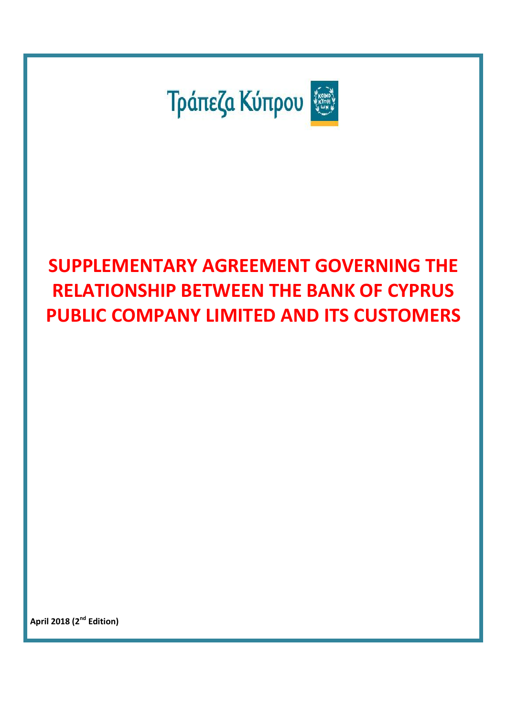

# **SUPPLEMENTARY AGREEMENT GOVERNING THE RELATIONSHIP BETWEEN THE BANK OF CYPRUS PUBLIC COMPANY LIMITED AND ITS CUSTOMERS**

**April 2018 (2 nd Edition)**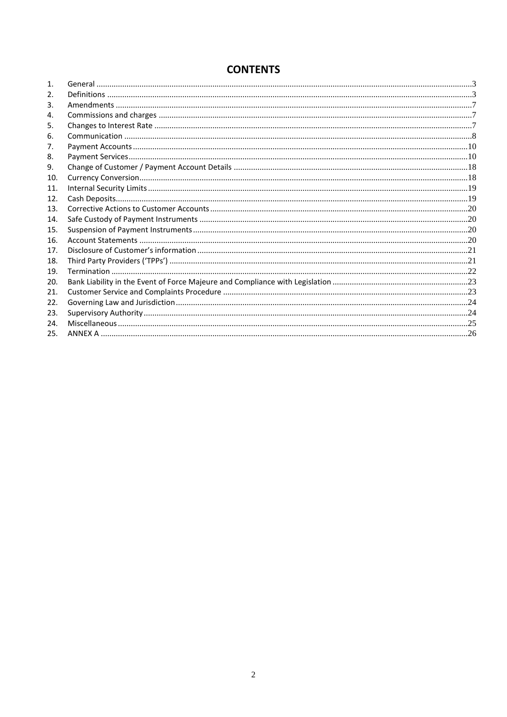# **CONTENTS**

| $\mathbf{1}$ . |  |
|----------------|--|
| 2.             |  |
| 3.             |  |
| 4.             |  |
| 5.             |  |
| 6.             |  |
| 7.             |  |
| 8.             |  |
| 9.             |  |
| 10.            |  |
| 11.            |  |
| 12.            |  |
| 13.            |  |
| 14.            |  |
| 15.            |  |
| 16.            |  |
| 17.            |  |
| 18.            |  |
| 19.            |  |
| 20.            |  |
| 21.            |  |
| 22.            |  |
| 23.            |  |
| 24.            |  |
| 25.            |  |
|                |  |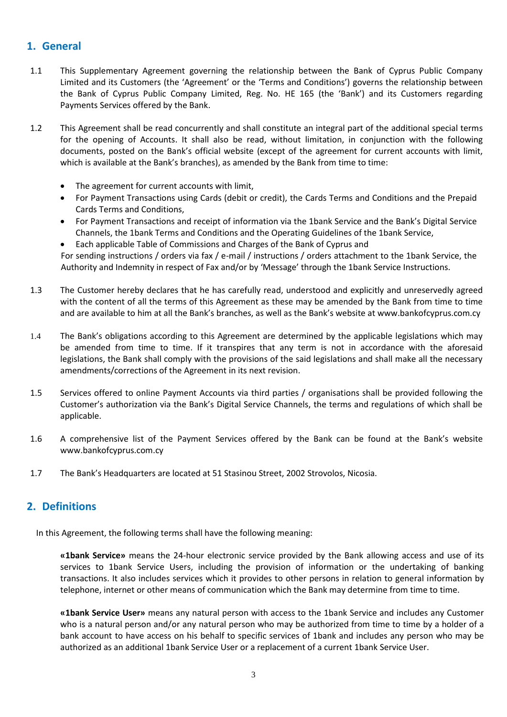# <span id="page-2-0"></span>**1. General**

- 1.1 This Supplementary Agreement governing the relationship between the Bank of Cyprus Public Company Limited and its Customers (the 'Agreement' or the 'Terms and Conditions') governs the relationship between the Bank of Cyprus Public Company Limited, Reg. No. HE 165 (the 'Bank') and its Customers regarding Payments Services offered by the Bank.
- 1.2 This Agreement shall be read concurrently and shall constitute an integral part of the additional special terms for the opening of Accounts. It shall also be read, without limitation, in conjunction with the following documents, posted on the Bank's official website (except of the agreement for current accounts with limit, which is available at the Bank's branches), as amended by the Bank from time to time:
	- Τhe agreement for current accounts with limit,
	- For Payment Transactions using Cards (debit or credit), the Cards Terms and Conditions and the Prepaid Cards Terms and Conditions,
	- For Payment Transactions and receipt of information via the 1bank Service and the Bank's Digital Service Channels, the 1bank Terms and Conditions and the Operating Guidelines of the 1bank Service,
	- Each applicable Table of Commissions and Charges of the Bank of Cyprus and

For sending instructions / orders via fax / e-mail / instructions / orders attachment to the 1bank Service, the Authority and Indemnity in respect of Fax and/or by 'Message' through the 1bank Service Instructions.

- 1.3 The Customer hereby declares that he has carefully read, understood and explicitly and unreservedly agreed with the content of all the terms of this Agreement as these may be amended by the Bank from time to time and are available to him at all the Bank's branches, as well as the Bank's website at [www.bankofcyprus.com.](http://www.bankofcyprus.com/)cy
- 1.4 The Bank's obligations according to this Agreement are determined by the applicable legislations which may be amended from time to time. If it transpires that any term is not in accordance with the aforesaid legislations, the Bank shall comply with the provisions of the said legislations and shall make all the necessary amendments/corrections of the Agreement in its next revision.
- 1.5 Services offered to online Payment Accounts via third parties / organisations shall be provided following the Customer's authorization via the Bank's Digital Service Channels, the terms and regulations of which shall be applicable.
- 1.6 A comprehensive list of the Payment Services offered by the Bank can be found at the Bank's website www.bankofcyprus.com.cy
- 1.7 The Bank's Headquarters are located at 51 Stasinou Street, 2002 Strovolos, Nicosia.

# <span id="page-2-1"></span>**2. Definitions**

In this Agreement, the following terms shall have the following meaning:

**«1bank Service»** means the 24-hour electronic service provided by the Bank allowing access and use of its services to 1bank Service Users, including the provision of information or the undertaking of banking transactions. It also includes services which it provides to other persons in relation to general information by telephone, internet or other means of communication which the Bank may determine from time to time.

**«1bank Service User»** means any natural person with access to the 1bank Service and includes any Customer who is a natural person and/or any natural person who may be authorized from time to time by a holder of a bank account to have access on his behalf to specific services of 1bank and includes any person who may be authorized as an additional 1bank Service User or a replacement of a current 1bank Service User.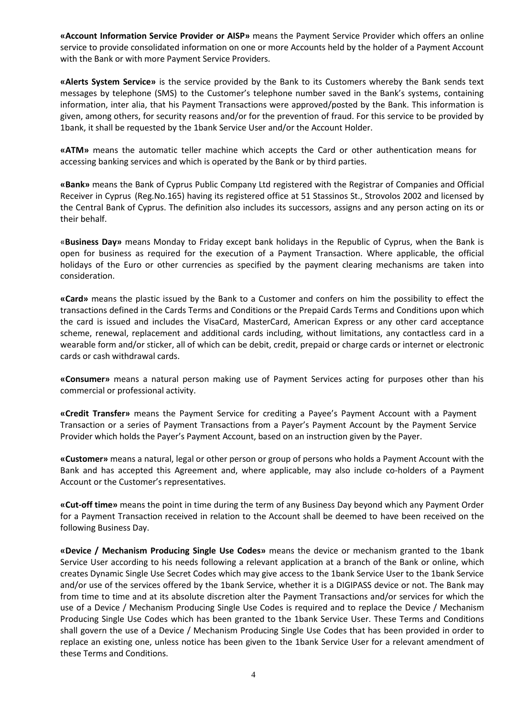**«Account Information Service Provider or AISP»** means the Payment Service Provider which offers an online service to provide consolidated information on one or more Accounts held by the holder of a Payment Account with the Bank or with more Payment Service Providers.

**«Alerts System Service»** is the service provided by the Bank to its Customers whereby the Bank sends text messages by telephone (SMS) to the Customer's telephone number saved in the Bank's systems, containing information, inter alia, that his Payment Transactions were approved/posted by the Bank. This information is given, among others, for security reasons and/or for the prevention of fraud. For this service to be provided by 1bank, it shall be requested by the 1bank Service User and/or the Account Holder.

**«ΑΤΜ»** means the automatic teller machine which accepts the Card or other authentication means for accessing banking services and which is operated by the Bank or by third parties.

**«Bank»** means the Bank of Cyprus Public Company Ltd registered with the Registrar of Companies and Official Receiver in Cyprus (Reg.No.165) having its registered office at 51 Stassinos St., Strovolos 2002 and licensed by the Central Bank of Cyprus. The definition also includes its successors, assigns and any person acting on its or their behalf.

«**Business Day»** means Monday to Friday except bank holidays in the Republic of Cyprus, when the Bank is open for business as required for the execution of a Payment Transaction. Where applicable, the official holidays of the Euro or other currencies as specified by the payment clearing mechanisms are taken into consideration.

**«Card»** means the plastic issued by the Bank to a Customer and confers on him the possibility to effect the transactions defined in the Cards Terms and Conditions or the Prepaid Cards Terms and Conditions upon which the card is issued and includes the VisaCard, MasterCard, American Express or any other card acceptance scheme, renewal, replacement and additional cards including, without limitations, any contactless card in a wearable form and/or sticker, all of which can be debit, credit, prepaid or charge cards or internet or electronic cards or cash withdrawal cards.

**«Consumer»** means a natural person making use of Payment Services acting for purposes other than his commercial or professional activity.

**«Credit Transfer»** means the Payment Service for crediting a Payee's Payment Account with a Payment Transaction or a series of Payment Transactions from a Payer's Payment Account by the Payment Service Provider which holds the Payer's Payment Account, based on an instruction given by the Payer.

**«Customer»** means a natural, legal or other person or group of persons who holds a Payment Account with the Bank and has accepted this Agreement and, where applicable, may also include co-holders of a Payment Account or the Customer's representatives.

**«Cut-off time»** means the point in time during the term of any Business Day beyond which any Payment Order for a Payment Transaction received in relation to the Account shall be deemed to have been received on the following Business Day.

**«Device / Mechanism Producing Single Use Codes»** means the device or mechanism granted to the 1bank Service User according to his needs following a relevant application at a branch of the Bank or online, which creates Dynamic Single Use Secret Codes which may give access to the 1bank Service User to the 1bank Service and/or use of the services offered by the 1bank Service, whether it is a DIGIPASS device or not. The Bank may from time to time and at its absolute discretion alter the Payment Transactions and/or services for which the use of a Device / Mechanism Producing Single Use Codes is required and to replace the Device / Mechanism Producing Single Use Codes which has been granted to the 1bank Service User. These Terms and Conditions shall govern the use of a Device / Mechanism Producing Single Use Codes that has been provided in order to replace an existing one, unless notice has been given to the 1bank Service User for a relevant amendment of these Terms and Conditions.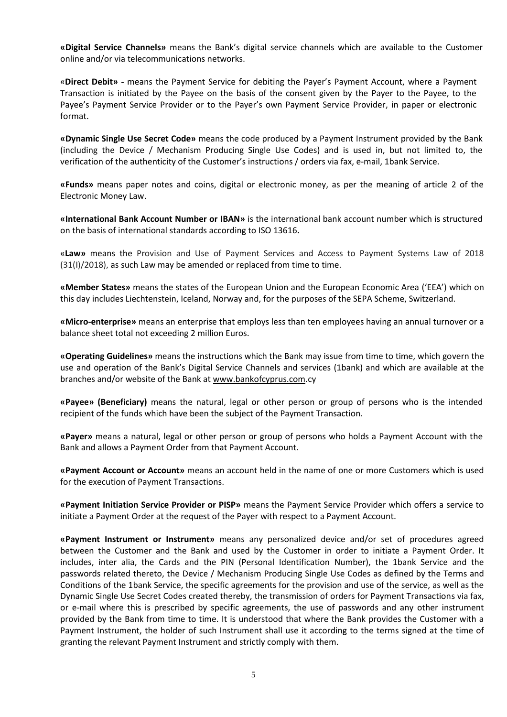**«Digital Service Channels»** means the Bank's digital service channels which are available to the Customer online and/or via telecommunications networks.

«**Direct Debit» -** means the Payment Service for debiting the Payer's Payment Account, where a Payment Transaction is initiated by the Payee on the basis of the consent given by the Payer to the Payee, to the Payee's Payment Service Provider or to the Payer's own Payment Service Provider, in paper or electronic format.

**«Dynamic Single Use Secret Code»** means the code produced by a Payment Instrument provided by the Bank (including the Device / Mechanism Producing Single Use Codes) and is used in, but not limited to, the verification of the authenticity of the Customer's instructions / orders via fax, e-mail, 1bank Service.

**«Funds»** means paper notes and coins, digital or electronic money, as per the meaning of article 2 of the Electronic Money Law.

**«International Bank Account Number or ΙΒΑΝ»** is the international bank account number which is structured on the basis of international standards according to ISO 13616**.**

«**Law»** means the Provision and Use of Payment Services and Access to Payment Systems Law of 2018 (31(I)/2018), as such Law may be amended or replaced from time to time.

**«Member States»** means the states of the European Union and the European Economic Area ('ΕΕΑ') which on this day includes Liechtenstein, Iceland, Norway and, for the purposes of the SEPA Scheme, Switzerland.

**«Micro-enterprise»** means an enterprise that employs less than ten employees having an annual turnover or a balance sheet total not exceeding 2 million Euros.

**«Operating Guidelines»** means the instructions which the Bank may issue from time to time, which govern the use and operation of the Bank's Digital Service Channels and services (1bank) and which are available at the branches and/or website of the Bank at [www.bankofcyprus.com.](http://www.bankofcyprus.com/)cy

**«Payee» (Beneficiary)** means the natural, legal or other person or group of persons who is the intended recipient of the funds which have been the subject of the Payment Transaction.

**«Payer»** means a natural, legal or other person or group of persons who holds a Payment Account with the Bank and allows a Payment Order from that Payment Account.

**«Payment Account or Account»** means an account held in the name of one or more Customers which is used for the execution of Payment Transactions.

**«Payment Initiation Service Provider or PISP»** means the Payment Service Provider which offers a service to initiate a Payment Order at the request of the Payer with respect to a Payment Account.

**«Payment Instrument or Instrument»** means any personalized device and/or set of procedures agreed between the Customer and the Bank and used by the Customer in order to initiate a Payment Order. It includes, inter alia, the Cards and the PIN (Personal Identification Number), the 1bank Service and the passwords related thereto, the Device / Mechanism Producing Single Use Codes as defined by the Terms and Conditions of the 1bank Service, the specific agreements for the provision and use of the service, as well as the Dynamic Single Use Secret Codes created thereby, the transmission of orders for Payment Transactions via fax, or e-mail where this is prescribed by specific agreements, the use of passwords and any other instrument provided by the Bank from time to time. It is understood that where the Bank provides the Customer with a Payment Instrument, the holder of such Instrument shall use it according to the terms signed at the time of granting the relevant Payment Instrument and strictly comply with them.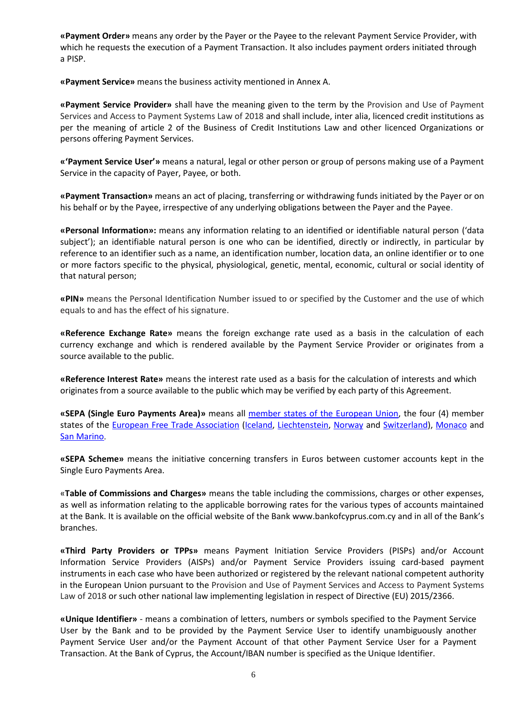**«Payment Order»** means any order by the Payer or the Payee to the relevant Payment Service Provider, with which he requests the execution of a Payment Transaction. It also includes payment orders initiated through a PISP.

**«Payment Service»** means the business activity mentioned in Annex A.

**«Payment Service Provider»** shall have the meaning given to the term by the Provision and Use of Payment Services and Access to Payment Systems Law of 2018 and shall include, inter alia, licenced credit institutions as per the meaning of article 2 of the Business of Credit Institutions Law and other licenced Organizations or persons offering Payment Services.

**«'Payment Service User'»** means a natural, legal or other person or group of persons making use of a Payment Service in the capacity of Payer, Payee, or both.

**«Payment Transaction»** means an act of placing, transferring or withdrawing funds initiated by the Payer or on his behalf or by the Payee, irrespective of any underlying obligations between the Payer and the Payee.

**«Personal Information»:** means any information relating to an identified or identifiable natural person ('data subject'); an identifiable natural person is one who can be identified, directly or indirectly, in particular by reference to an identifier such as a name, an identification number, location data, an online identifier or to one or more factors specific to the physical, physiological, genetic, mental, economic, cultural or social identity of that natural person;

**«PIN»** means the Personal Identification Number issued to or specified by the Customer and the use of which equals to and has the effect of his signature.

**«Reference Exchange Rate»** means the foreign exchange rate used as a basis in the calculation of each currency exchange and which is rendered available by the Payment Service Provider or originates from a source available to the public.

**«Reference Interest Rate»** means the interest rate used as a basis for the calculation of interests and which originates from a source available to the public which may be verified by each party of this Agreement.

**«SEPA (Single Euro Payments Area)»** means all [member states of the European Union,](https://en.wikipedia.org/wiki/Member_states_of_the_European_Union) the four (4) member states of the [European Free Trade Association](https://en.wikipedia.org/wiki/European_Free_Trade_Association) [\(Iceland,](https://en.wikipedia.org/wiki/Iceland) [Liechtenstein,](https://en.wikipedia.org/wiki/Liechtenstein) [Norway](https://en.wikipedia.org/wiki/Norway) and [Switzerland\)](https://en.wikipedia.org/wiki/Switzerland), [Monaco](https://en.wikipedia.org/wiki/Monaco) and [San Marino](https://en.wikipedia.org/wiki/San_Marino).

**«SEPA Scheme»** means the initiative concerning transfers in Euros between customer accounts kept in the Single Euro Payments Area.

«**Table of Commissions and Charges»** means the table including the commissions, charges or other expenses, as well as information relating to the applicable borrowing rates for the various types of accounts maintained at the Bank. It is available on the official website of the Bank www.bankofcyprus.com.cy and in all of the Bank's branches.

**«Third Party Providers or TPPs»** means Payment Initiation Service Providers (PISPs) and/or Account Information Service Providers (AISPs) and/or Payment Service Providers issuing card-based payment instruments in each case who have been authorized or registered by the relevant national competent authority in the European Union pursuant to the Provision and Use of Payment Services and Access to Payment Systems Law of 2018 or such other national law implementing legislation in respect of Directive (EU) 2015/2366.

**«Unique Identifier»** - means a combination of letters, numbers or symbols specified to the Payment Service User by the Bank and to be provided by the Payment Service User to identify unambiguously another Payment Service User and/or the Payment Account of that other Payment Service User for a Payment Transaction. At the Bank of Cyprus, the Account/IBAN number is specified as the Unique Identifier.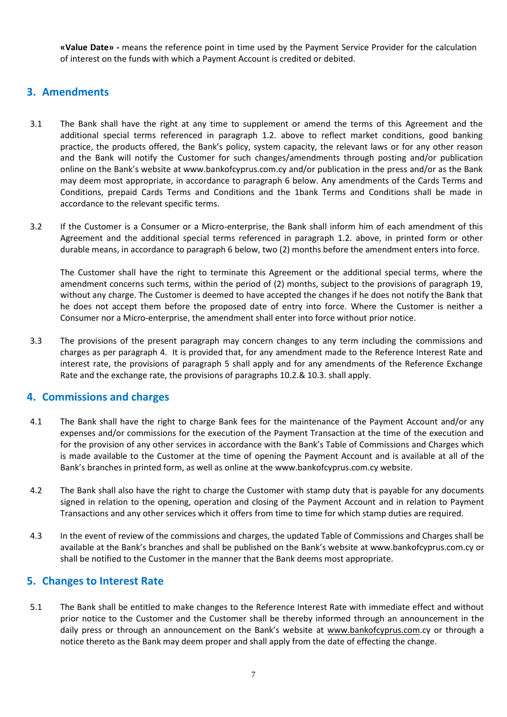**«Value Date» -** means the reference point in time used by the Payment Service Provider for the calculation of interest on the funds with which a Payment Account is credited or debited.

## <span id="page-6-0"></span>**3. Amendments**

- 3.1 The Bank shall have the right at any time to supplement or amend the terms of this Agreement and the additional special terms referenced in paragraph 1.2. above to reflect market conditions, good banking practice, the products offered, the Bank's policy, system capacity, the relevant laws or for any other reason and the Bank will notify the Customer for such changes/amendments through posting and/or publication online on the Bank's website at [www.bankofcyprus.com.](http://www.bankofcyprus.com/)cy and/or publication in the press and/or as the Bank may deem most appropriate, in accordance to paragraph 6 below. Any amendments of the Cards Terms and Conditions, prepaid Cards Terms and Conditions and the 1bank Terms and Conditions shall be made in accordance to the relevant specific terms.
- 3.2 If the Customer is a Consumer or a Micro-enterprise, the Bank shall inform him of each amendment of this Agreement and the additional special terms referenced in paragraph 1.2. above, in printed form or other durable means, in accordance to paragraph 6 below, two (2) months before the amendment enters into force.

The Customer shall have the right to terminate this Agreement or the additional special terms, where the amendment concerns such terms, within the period of (2) months, subject to the provisions of paragraph 19, without any charge. The Customer is deemed to have accepted the changes if he does not notify the Bank that he does not accept them before the proposed date of entry into force. Where the Customer is neither a Consumer nor a Micro-enterprise, the amendment shall enter into force without prior notice.

3.3 The provisions of the present paragraph may concern changes to any term including the commissions and charges as per paragraph 4. It is provided that, for any amendment made to the Reference Interest Rate and interest rate, the provisions of paragraph 5 shall apply and for any amendments of the Reference Exchange Rate and the exchange rate, the provisions of paragraphs 10.2.& 10.3. shall apply.

## <span id="page-6-1"></span>**4. Commissions and charges**

- 4.1 The Bank shall have the right to charge Bank fees for the maintenance of the Payment Account and/or any expenses and/or commissions for the execution of the Payment Transaction at the time of the execution and for the provision of any other services in accordance with the Bank's Table of Commissions and Charges which is made available to the Customer at the time of opening the Payment Account and is available at all of the Bank's branches in printed form, as well as online at the [www.bankofcyprus.com.](http://www.bankofcyprus.com/)cy website.
- 4.2 The Bank shall also have the right to charge the Customer with stamp duty that is payable for any documents signed in relation to the opening, operation and closing of the Payment Account and in relation to Payment Transactions and any other services which it offers from time to time for which stamp duties are required.
- 4.3 In the event of review of the commissions and charges, the updated Table of Commissions and Charges shall be available at the Bank's branches and shall be published on the Bank's website at [www.bankofcyprus.com.](http://www.bankofcyprus.com/)cy or shall be notified to the Customer in the manner that the Bank deems most appropriate.

## <span id="page-6-2"></span>**5. Changes to Interest Rate**

5.1 The Bank shall be entitled to make changes to the Reference Interest Rate with immediate effect and without prior notice to the Customer and the Customer shall be thereby informed through an announcement in the daily press or through an announcement on the Bank's website at [www.bankofcyprus.com.](http://www.bankofcyprus.com/)cy or through a notice thereto as the Bank may deem proper and shall apply from the date of effecting the change.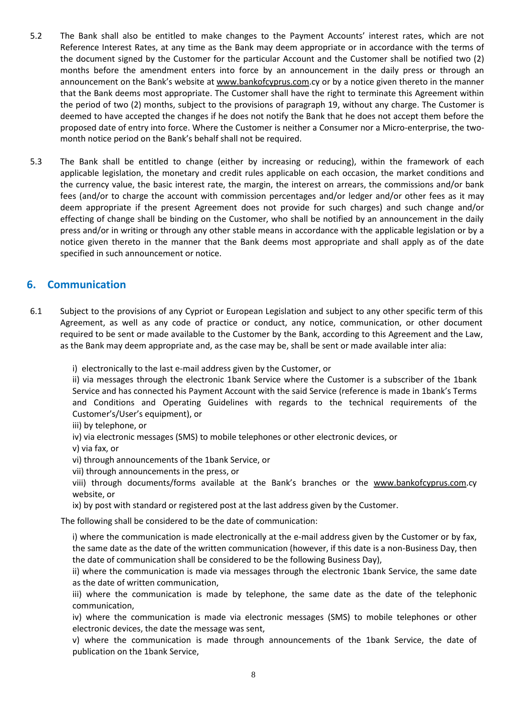- 5.2 The Bank shall also be entitled to make changes to the Payment Accounts' interest rates, which are not Reference Interest Rates, at any time as the Bank may deem appropriate or in accordance with the terms of the document signed by the Customer for the particular Account and the Customer shall be notified two (2) months before the amendment enters into force by an announcement in the daily press or through an announcement on the Bank's website at [www.bankofcyprus.com.](http://www.bankofcyprus.com/)cy or by a notice given thereto in the manner that the Bank deems most appropriate. The Customer shall have the right to terminate this Agreement within the period of two (2) months, subject to the provisions of paragraph 19, without any charge. The Customer is deemed to have accepted the changes if he does not notify the Bank that he does not accept them before the proposed date of entry into force. Where the Customer is neither a Consumer nor a Micro-enterprise, the twomonth notice period on the Bank's behalf shall not be required.
- 5.3 The Bank shall be entitled to change (either by increasing or reducing), within the framework of each applicable legislation, the monetary and credit rules applicable on each occasion, the market conditions and the currency value, the basic interest rate, the margin, the interest on arrears, the commissions and/or bank fees (and/or to charge the account with commission percentages and/or ledger and/or other fees as it may deem appropriate if the present Agreement does not provide for such charges) and such change and/or effecting of change shall be binding on the Customer, who shall be notified by an announcement in the daily press and/or in writing or through any other stable means in accordance with the applicable legislation or by a notice given thereto in the manner that the Bank deems most appropriate and shall apply as of the date specified in such announcement or notice.

## <span id="page-7-0"></span>**6. Communication**

- 6.1 Subject to the provisions of any Cypriot or European Legislation and subject to any other specific term of this Agreement, as well as any code of practice or conduct, any notice, communication, or other document required to be sent or made available to the Customer by the Bank, according to this Agreement and the Law, as the Bank may deem appropriate and, as the case may be, shall be sent or made available inter alia:
	- i) electronically to the last e-mail address given by the Customer, or

ii) via messages through the electronic 1bank Service where the Customer is a subscriber of the 1bank Service and has connected his Payment Account with the said Service (reference is made in 1bank's Terms and Conditions and Operating Guidelines with regards to the technical requirements of the Customer's/User's equipment), or

- iii) by telephone, or
- iv) via electronic messages (SMS) to mobile telephones or other electronic devices, or
- v) via fax, or
- vi) through announcements of the 1bank Service, or
- vii) through announcements in the press, or
- viii) through documents/forms available at the Bank's branches or the [www.bankofcyprus.com.](http://www.bankofcyprus.com/)cy website, or
- ix) by post with standard or registered post at the last address given by the Customer.

The following shall be considered to be the date of communication:

i) where the communication is made electronically at the e-mail address given by the Customer or by fax, the same date as the date of the written communication (however, if this date is a non-Business Day, then the date of communication shall be considered to be the following Business Day),

ii) where the communication is made via messages through the electronic 1bank Service, the same date as the date of written communication,

iii) where the communication is made by telephone, the same date as the date of the telephonic communication,

iv) where the communication is made via electronic messages (SMS) to mobile telephones or other electronic devices, the date the message was sent,

v) where the communication is made through announcements of the 1bank Service, the date of publication on the 1bank Service,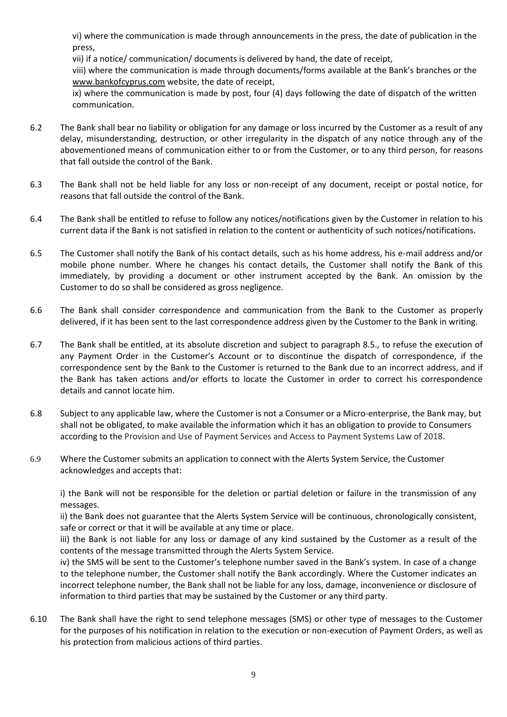vi) where the communication is made through announcements in the press, the date of publication in the press,

vii) if a notice/ communication/ documents is delivered by hand, the date of receipt,

viii) where the communication is made through documents/forms available at the Bank's branches or the [www.bankofcyprus.com](http://www.bankofcyprus.com/) website, the date of receipt,

ix) where the communication is made by post, four (4) days following the date of dispatch of the written communication.

- 6.2 The Bank shall bear no liability or obligation for any damage or loss incurred by the Customer as a result of any delay, misunderstanding, destruction, or other irregularity in the dispatch of any notice through any of the abovementioned means of communication either to or from the Customer, or to any third person, for reasons that fall outside the control of the Bank.
- 6.3 The Bank shall not be held liable for any loss or non-receipt of any document, receipt or postal notice, for reasons that fall outside the control of the Bank.
- 6.4 The Bank shall be entitled to refuse to follow any notices/notifications given by the Customer in relation to his current data if the Bank is not satisfied in relation to the content or authenticity of such notices/notifications.
- 6.5 The Customer shall notify the Bank of his contact details, such as his home address, his e-mail address and/or mobile phone number. Where he changes his contact details, the Customer shall notify the Bank of this immediately, by providing a document or other instrument accepted by the Bank. An omission by the Customer to do so shall be considered as gross negligence.
- 6.6 The Bank shall consider correspondence and communication from the Bank to the Customer as properly delivered, if it has been sent to the last correspondence address given by the Customer to the Bank in writing.
- 6.7 The Bank shall be entitled, at its absolute discretion and subject to paragraph 8.5., to refuse the execution of any Payment Order in the Customer's Account or to discontinue the dispatch of correspondence, if the correspondence sent by the Bank to the Customer is returned to the Bank due to an incorrect address, and if the Bank has taken actions and/or efforts to locate the Customer in order to correct his correspondence details and cannot locate him.
- 6.8 Subject to any applicable law, where the Customer is not a Consumer or a Micro-enterprise, the Bank may, but shall not be obligated, to make available the information which it has an obligation to provide to Consumers according to the Provision and Use of Payment Services and Access to Payment Systems Law of 2018.
- 6.9 Where the Customer submits an application to connect with the Alerts System Service, the Customer acknowledges and accepts that:

i) the Bank will not be responsible for the deletion or partial deletion or failure in the transmission of any messages.

ii) the Bank does not guarantee that the Alerts System Service will be continuous, chronologically consistent, safe or correct or that it will be available at any time or place.

iii) the Bank is not liable for any loss or damage of any kind sustained by the Customer as a result of the contents of the message transmitted through the Alerts System Service.

iv) the SMS will be sent to the Customer's telephone number saved in the Bank's system. In case of a change to the telephone number, the Customer shall notify the Bank accordingly. Where the Customer indicates an incorrect telephone number, the Bank shall not be liable for any loss, damage, inconvenience or disclosure of information to third parties that may be sustained by the Customer or any third party.

6.10 The Bank shall have the right to send telephone messages (SMS) or other type of messages to the Customer for the purposes of his notification in relation to the execution or non-execution of Payment Orders, as well as his protection from malicious actions of third parties.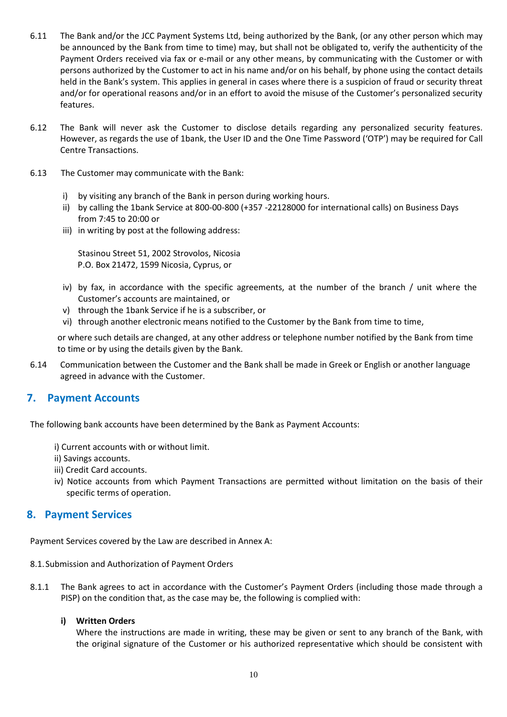- 6.11 The Bank and/or the JCC Payment Systems Ltd, being authorized by the Bank, (or any other person which may be announced by the Bank from time to time) may, but shall not be obligated to, verify the authenticity of the Payment Orders received via fax or e-mail or any other means, by communicating with the Customer or with persons authorized by the Customer to act in his name and/or on his behalf, by phone using the contact details held in the Bank's system. This applies in general in cases where there is a suspicion of fraud or security threat and/or for operational reasons and/or in an effort to avoid the misuse of the Customer's personalized security features.
- 6.12 The Bank will never ask the Customer to disclose details regarding any personalized security features. However, as regards the use of 1bank, the User ID and the One Time Password ('OTP') may be required for Call Centre Transactions.
- 6.13 The Customer may communicate with the Bank:
	- i) by visiting any branch of the Bank in person during working hours.
	- ii) by calling the 1bank Service at 800-00-800 (+357 -22128000 for international calls) on Business Days from 7:45 to 20:00 or
	- iii) in writing by post at the following address:

Stasinou Street 51, 2002 Strovolos, Nicosia P.O. Box 21472, 1599 Nicosia, Cyprus, or

- iv) by fax, in accordance with the specific agreements, at the number of the branch / unit where the Customer's accounts are maintained, or
- v) through the 1bank Service if he is a subscriber, or
- vi) through another electronic means notified to the Customer by the Bank from time to time,

or where such details are changed, at any other address or telephone number notified by the Bank from time to time or by using the details given by the Bank.

6.14 Communication between the Customer and the Bank shall be made in Greek or English or another language agreed in advance with the Customer.

# <span id="page-9-0"></span>**7. Payment Accounts**

The following bank accounts have been determined by the Bank as Payment Accounts:

- i) Current accounts with or without limit.
- ii) Savings accounts.
- iii) Credit Card accounts.
- iv) Notice accounts from which Payment Transactions are permitted without limitation on the basis of their specific terms of operation.

## <span id="page-9-1"></span>**8. Payment Services**

Payment Services covered by the Law are described in Annex A:

- 8.1.Submission and Authorization of Payment Orders
- 8.1.1 The Bank agrees to act in accordance with the Customer's Payment Orders (including those made through a PISP) on the condition that, as the case may be, the following is complied with:

#### **i) Written Orders**

Where the instructions are made in writing, these may be given or sent to any branch of the Bank, with the original signature of the Customer or his authorized representative which should be consistent with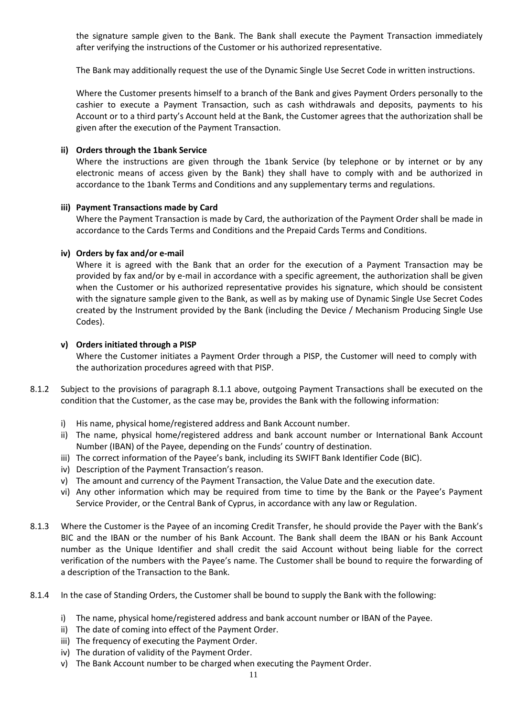the signature sample given to the Bank. The Bank shall execute the Payment Transaction immediately after verifying the instructions of the Customer or his authorized representative.

The Bank may additionally request the use of the Dynamic Single Use Secret Code in written instructions.

Where the Customer presents himself to a branch of the Bank and gives Payment Orders personally to the cashier to execute a Payment Transaction, such as cash withdrawals and deposits, payments to his Account or to a third party's Account held at the Bank, the Customer agrees that the authorization shall be given after the execution of the Payment Transaction.

#### **ii) Orders through the 1bank Service**

Where the instructions are given through the 1bank Service (by telephone or by internet or by any electronic means of access given by the Bank) they shall have to comply with and be authorized in accordance to the 1bank Terms and Conditions and any supplementary terms and regulations.

#### **iii) Payment Transactions made by Card**

Where the Payment Transaction is made by Card, the authorization of the Payment Order shall be made in accordance to the Cards Terms and Conditions and the Prepaid Cards Terms and Conditions.

#### **iv) Orders by fax and/or e-mail**

Where it is agreed with the Bank that an order for the execution of a Payment Transaction may be provided by fax and/or by e-mail in accordance with a specific agreement, the authorization shall be given when the Customer or his authorized representative provides his signature, which should be consistent with the signature sample given to the Bank, as well as by making use of Dynamic Single Use Secret Codes created by the Instrument provided by the Bank (including the Device / Mechanism Producing Single Use Codes).

#### **v) Orders initiated through a PISP**

Where the Customer initiates a Payment Order through a PISP, the Customer will need to comply with the authorization procedures agreed with that PISP.

- 8.1.2 Subject to the provisions of paragraph 8.1.1 above, outgoing Payment Transactions shall be executed on the condition that the Customer, as the case may be, provides the Bank with the following information:
	- i) His name, physical home/registered address and Bank Account number.
	- ii) The name, physical home/registered address and bank account number or International Bank Account Number (IBAN) of the Payee, depending on the Funds' country of destination.
	- iii) The correct information of the Payee's bank, including its SWIFT Bank Identifier Code (BIC).
	- iv) Description of the Payment Transaction's reason.
	- v) The amount and currency of the Payment Transaction, the Value Date and the execution date.
	- vi) Any other information which may be required from time to time by the Bank or the Payee's Payment Service Provider, or the Central Bank of Cyprus, in accordance with any law or Regulation.
- 8.1.3 Where the Customer is the Payee of an incoming Credit Transfer, he should provide the Payer with the Bank's BIC and the IBAN or the number of his Bank Account. The Bank shall deem the IBAN or his Bank Account number as the Unique Identifier and shall credit the said Account without being liable for the correct verification of the numbers with the Payee's name. The Customer shall be bound to require the forwarding of a description of the Transaction to the Bank.
- 8.1.4 In the case of Standing Orders, the Customer shall be bound to supply the Bank with the following:
	- i) The name, physical home/registered address and bank account number or IBAN of the Payee.
	- ii) The date of coming into effect of the Payment Order.
	- iii) The frequency of executing the Payment Order.
	- iv) The duration of validity of the Payment Order.
	- v) The Bank Account number to be charged when executing the Payment Order.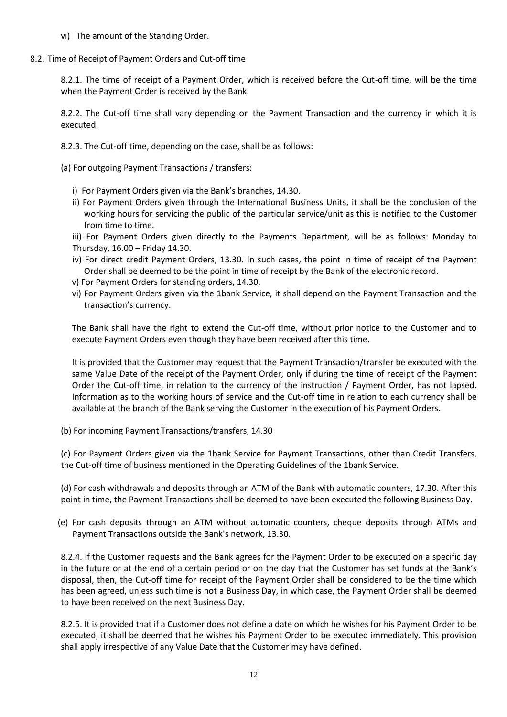- vi) The amount of the Standing Order.
- 8.2. Time of Receipt of Payment Orders and Cut-off time

8.2.1. The time of receipt of a Payment Order, which is received before the Cut-off time, will be the time when the Payment Order is received by the Bank.

8.2.2. The Cut-off time shall vary depending on the Payment Transaction and the currency in which it is executed.

- 8.2.3. The Cut-off time, depending on the case, shall be as follows:
- (a) For outgoing Payment Transactions / transfers:
	- i) For Payment Orders given via the Bank's branches, 14.30.
	- ii) For Payment Orders given through the International Business Units, it shall be the conclusion of the working hours for servicing the public of the particular service/unit as this is notified to the Customer from time to time.

iii) For Payment Orders given directly to the Payments Department, will be as follows: Monday to Thursday, 16.00 – Friday 14.30.

- iv) For direct credit Payment Orders, 13.30. In such cases, the point in time of receipt of the Payment Order shall be deemed to be the point in time of receipt by the Bank of the electronic record.
- v) For Payment Orders for standing orders, 14.30.
- vi) For Payment Orders given via the 1bank Service, it shall depend on the Payment Transaction and the transaction's currency.

The Bank shall have the right to extend the Cut-off time, without prior notice to the Customer and to execute Payment Orders even though they have been received after this time.

It is provided that the Customer may request that the Payment Transaction/transfer be executed with the same Value Date of the receipt of the Payment Order, only if during the time of receipt of the Payment Order the Cut-off time, in relation to the currency of the instruction / Payment Order, has not lapsed. Information as to the working hours of service and the Cut-off time in relation to each currency shall be available at the branch of the Bank serving the Customer in the execution of his Payment Orders.

(b) For incoming Payment Transactions/transfers, 14.30

(c) For Payment Orders given via the 1bank Service for Payment Transactions, other than Credit Transfers, the Cut-off time of business mentioned in the Operating Guidelines of the 1bank Service.

(d) For cash withdrawals and deposits through an ATM of the Bank with automatic counters, 17.30. After this point in time, the Payment Transactions shall be deemed to have been executed the following Business Day.

 (e) For cash deposits through an ATM without automatic counters, cheque deposits through ATMs and Payment Transactions outside the Bank's network, 13.30.

8.2.4. If the Customer requests and the Bank agrees for the Payment Order to be executed on a specific day in the future or at the end of a certain period or on the day that the Customer has set funds at the Bank's disposal, then, the Cut-off time for receipt of the Payment Order shall be considered to be the time which has been agreed, unless such time is not a Business Day, in which case, the Payment Order shall be deemed to have been received on the next Business Day.

8.2.5. It is provided that if a Customer does not define a date on which he wishes for his Payment Order to be executed, it shall be deemed that he wishes his Payment Order to be executed immediately. This provision shall apply irrespective of any Value Date that the Customer may have defined.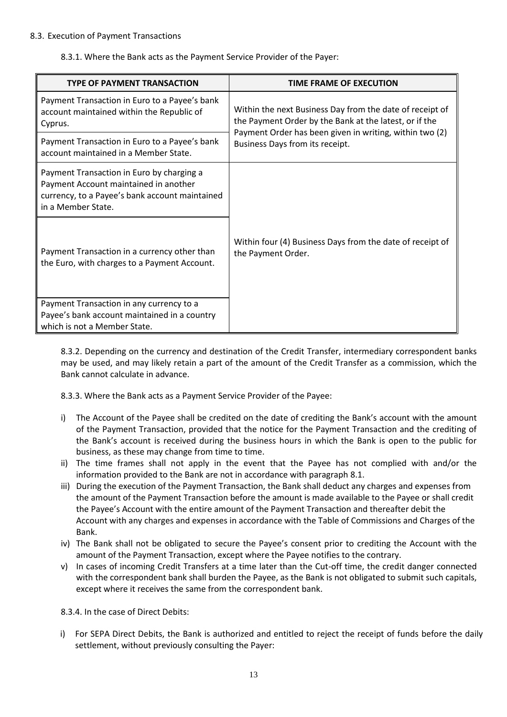#### 8.3. Execution of Payment Transactions

8.3.1. Where the Bank acts as the Payment Service Provider of the Payer:

| <b>TYPE OF PAYMENT TRANSACTION</b>                                                                                                                         | <b>TIME FRAME OF EXECUTION</b>                                                                                                                                                                                   |
|------------------------------------------------------------------------------------------------------------------------------------------------------------|------------------------------------------------------------------------------------------------------------------------------------------------------------------------------------------------------------------|
| Payment Transaction in Euro to a Payee's bank<br>account maintained within the Republic of<br>Cyprus.                                                      | Within the next Business Day from the date of receipt of<br>the Payment Order by the Bank at the latest, or if the<br>Payment Order has been given in writing, within two (2)<br>Business Days from its receipt. |
| Payment Transaction in Euro to a Payee's bank<br>account maintained in a Member State.                                                                     |                                                                                                                                                                                                                  |
| Payment Transaction in Euro by charging a<br>Payment Account maintained in another<br>currency, to a Payee's bank account maintained<br>in a Member State. |                                                                                                                                                                                                                  |
| Payment Transaction in a currency other than<br>the Euro, with charges to a Payment Account.                                                               | Within four (4) Business Days from the date of receipt of<br>the Payment Order.                                                                                                                                  |
| Payment Transaction in any currency to a<br>Payee's bank account maintained in a country<br>which is not a Member State.                                   |                                                                                                                                                                                                                  |

8.3.2. Depending on the currency and destination of the Credit Transfer, intermediary correspondent banks may be used, and may likely retain a part of the amount of the Credit Transfer as a commission, which the Bank cannot calculate in advance.

8.3.3. Where the Bank acts as a Payment Service Provider of the Payee:

- i) The Account of the Payee shall be credited on the date of crediting the Bank's account with the amount of the Payment Transaction, provided that the notice for the Payment Transaction and the crediting of the Bank's account is received during the business hours in which the Bank is open to the public for business, as these may change from time to time.
- ii) The time frames shall not apply in the event that the Payee has not complied with and/or the information provided to the Bank are not in accordance with paragraph 8.1.
- iii) During the execution of the Payment Transaction, the Bank shall deduct any charges and expenses from the amount of the Payment Transaction before the amount is made available to the Payee or shall credit the Payee's Account with the entire amount of the Payment Transaction and thereafter debit the Account with any charges and expenses in accordance with the Table of Commissions and Charges of the Bank.
- iv) The Bank shall not be obligated to secure the Payee's consent prior to crediting the Account with the amount of the Payment Transaction, except where the Payee notifies to the contrary.
- v) In cases of incoming Credit Transfers at a time later than the Cut-off time, the credit danger connected with the correspondent bank shall burden the Payee, as the Bank is not obligated to submit such capitals, except where it receives the same from the correspondent bank.

8.3.4. In the case of Direct Debits:

i) For SEPA Direct Debits, the Bank is authorized and entitled to reject the receipt of funds before the daily settlement, without previously consulting the Payer: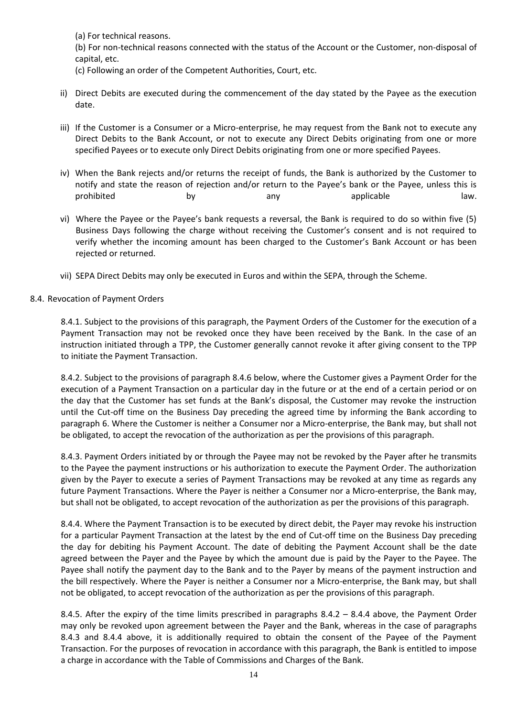(a) For technical reasons.

(b) For non-technical reasons connected with the status of the Account or the Customer, non-disposal of capital, etc.

- (c) Following an order of the Competent Authorities, Court, etc.
- ii) Direct Debits are executed during the commencement of the day stated by the Payee as the execution date.
- iii) If the Customer is a Consumer or a Micro-enterprise, he may request from the Bank not to execute any Direct Debits to the Bank Account, or not to execute any Direct Debits originating from one or more specified Payees or to execute only Direct Debits originating from one or more specified Payees.
- iv) When the Bank rejects and/or returns the receipt of funds, the Bank is authorized by the Customer to notify and state the reason of rejection and/or return to the Payee's bank or the Payee, unless this is prohibited by by any any applicable law.
- vi) Where the Payee or the Payee's bank requests a reversal, the Bank is required to do so within five (5) Business Days following the charge without receiving the Customer's consent and is not required to verify whether the incoming amount has been charged to the Customer's Bank Account or has been rejected or returned.
- vii) SEPA Direct Debits may only be executed in Euros and within the SEPA, through the Scheme.

#### 8.4. Revocation of Payment Orders

8.4.1. Subject to the provisions of this paragraph, the Payment Orders of the Customer for the execution of a Payment Transaction may not be revoked once they have been received by the Bank. In the case of an instruction initiated through a TPP, the Customer generally cannot revoke it after giving consent to the TPP to initiate the Payment Transaction.

8.4.2. Subject to the provisions of paragraph 8.4.6 below, where the Customer gives a Payment Order for the execution of a Payment Transaction on a particular day in the future or at the end of a certain period or on the day that the Customer has set funds at the Bank's disposal, the Customer may revoke the instruction until the Cut-off time on the Business Day preceding the agreed time by informing the Bank according to paragraph 6. Where the Customer is neither a Consumer nor a Micro-enterprise, the Bank may, but shall not be obligated, to accept the revocation of the authorization as per the provisions of this paragraph.

8.4.3. Payment Orders initiated by or through the Payee may not be revoked by the Payer after he transmits to the Payee the payment instructions or his authorization to execute the Payment Order. The authorization given by the Payer to execute a series of Payment Transactions may be revoked at any time as regards any future Payment Transactions. Where the Payer is neither a Consumer nor a Micro-enterprise, the Bank may, but shall not be obligated, to accept revocation of the authorization as per the provisions of this paragraph.

8.4.4. Where the Payment Transaction is to be executed by direct debit, the Payer may revoke his instruction for a particular Payment Transaction at the latest by the end of Cut-off time on the Business Day preceding the day for debiting his Payment Account. The date of debiting the Payment Account shall be the date agreed between the Payer and the Payee by which the amount due is paid by the Payer to the Payee. The Payee shall notify the payment day to the Bank and to the Payer by means of the payment instruction and the bill respectively. Where the Payer is neither a Consumer nor a Micro-enterprise, the Bank may, but shall not be obligated, to accept revocation of the authorization as per the provisions of this paragraph.

8.4.5. After the expiry of the time limits prescribed in paragraphs 8.4.2 – 8.4.4 above, the Payment Order may only be revoked upon agreement between the Payer and the Bank, whereas in the case of paragraphs 8.4.3 and 8.4.4 above, it is additionally required to obtain the consent of the Payee of the Payment Transaction. For the purposes of revocation in accordance with this paragraph, the Bank is entitled to impose a charge in accordance with the Table of Commissions and Charges of the Bank.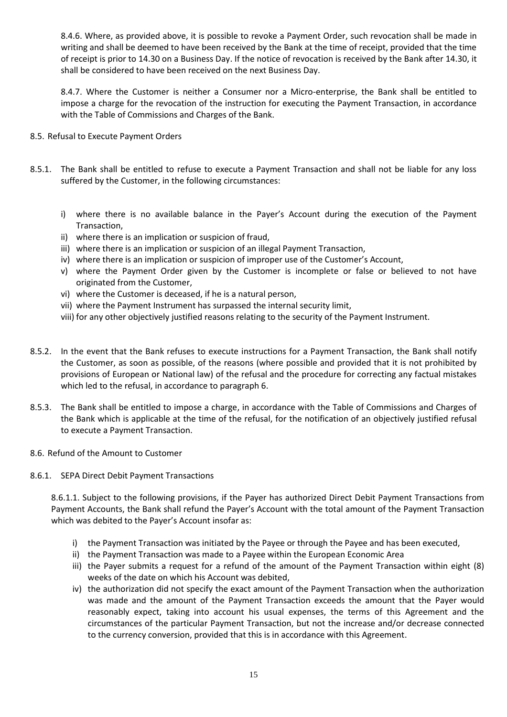8.4.6. Where, as provided above, it is possible to revoke a Payment Order, such revocation shall be made in writing and shall be deemed to have been received by the Bank at the time of receipt, provided that the time of receipt is prior to 14.30 on a Business Day. If the notice of revocation is received by the Bank after 14.30, it shall be considered to have been received on the next Business Day.

8.4.7. Where the Customer is neither a Consumer nor a Micro-enterprise, the Bank shall be entitled to impose a charge for the revocation of the instruction for executing the Payment Transaction, in accordance with the Table of Commissions and Charges of the Bank.

#### 8.5. Refusal to Execute Payment Orders

- 8.5.1. The Bank shall be entitled to refuse to execute a Payment Transaction and shall not be liable for any loss suffered by the Customer, in the following circumstances:
	- i) where there is no available balance in the Payer's Account during the execution of the Payment Transaction,
	- ii) where there is an implication or suspicion of fraud,
	- iii) where there is an implication or suspicion of an illegal Payment Transaction,
	- iv) where there is an implication or suspicion of improper use of the Customer's Account,
	- v) where the Payment Order given by the Customer is incomplete or false or believed to not have originated from the Customer,
	- vi) where the Customer is deceased, if he is a natural person,
	- vii) where the Payment Instrument has surpassed the internal security limit,
	- viii) for any other objectively justified reasons relating to the security of the Payment Instrument.
- 8.5.2. In the event that the Bank refuses to execute instructions for a Payment Transaction, the Bank shall notify the Customer, as soon as possible, of the reasons (where possible and provided that it is not prohibited by provisions of European or National law) of the refusal and the procedure for correcting any factual mistakes which led to the refusal, in accordance to paragraph 6.
- 8.5.3. The Bank shall be entitled to impose a charge, in accordance with the Table of Commissions and Charges of the Bank which is applicable at the time of the refusal, for the notification of an objectively justified refusal to execute a Payment Transaction.
- 8.6. Refund of the Amount to Customer
- 8.6.1. SEPA Direct Debit Payment Transactions

8.6.1.1. Subject to the following provisions, if the Payer has authorized Direct Debit Payment Transactions from Payment Accounts, the Bank shall refund the Payer's Account with the total amount of the Payment Transaction which was debited to the Payer's Account insofar as:

- i) the Payment Transaction was initiated by the Payee or through the Payee and has been executed,
- ii) the Payment Transaction was made to a Payee within the European Economic Area
- iii) the Payer submits a request for a refund of the amount of the Payment Transaction within eight (8) weeks of the date on which his Account was debited,
- iv) the authorization did not specify the exact amount of the Payment Transaction when the authorization was made and the amount of the Payment Transaction exceeds the amount that the Payer would reasonably expect, taking into account his usual expenses, the terms of this Agreement and the circumstances of the particular Payment Transaction, but not the increase and/or decrease connected to the currency conversion, provided that this is in accordance with this Agreement.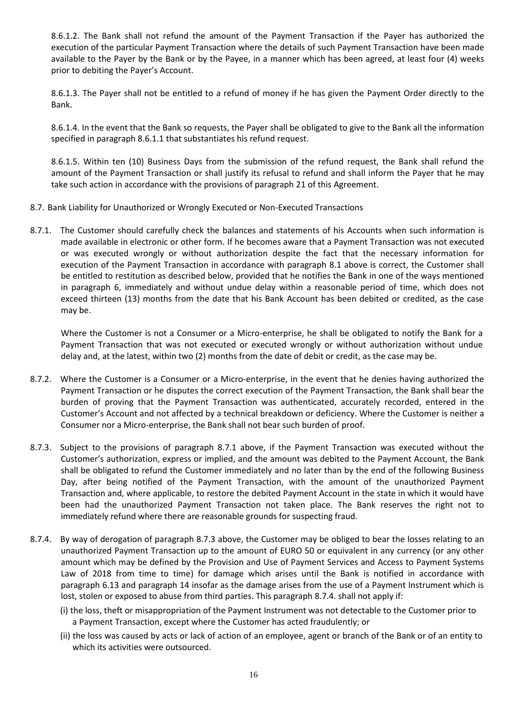8.6.1.2. The Bank shall not refund the amount of the Payment Transaction if the Payer has authorized the execution of the particular Payment Transaction where the details of such Payment Transaction have been made available to the Payer by the Bank or by the Payee, in a manner which has been agreed, at least four (4) weeks prior to debiting the Payer's Αccount.

8.6.1.3. The Payer shall not be entitled to a refund of money if he has given the Payment Order directly to the Bank.

8.6.1.4. In the event that the Bank so requests, the Payer shall be obligated to give to the Bank all the information specified in paragraph 8.6.1.1 that substantiates his refund request.

8.6.1.5. Within ten (10) Business Days from the submission of the refund request, the Bank shall refund the amount of the Payment Transaction or shall justify its refusal to refund and shall inform the Payer that he may take such action in accordance with the provisions of paragraph 21 of this Agreement.

- 8.7. Bank Liability for Unauthorized or Wrongly Executed or Non-Executed Transactions
- 8.7.1. The Customer should carefully check the balances and statements of his Accounts when such information is made available in electronic or other form. If he becomes aware that a Payment Transaction was not executed or was executed wrongly or without authorization despite the fact that the necessary information for execution of the Payment Transaction in accordance with paragraph 8.1 above is correct, the Customer shall be entitled to restitution as described below, provided that he notifies the Bank in one of the ways mentioned in paragraph 6, immediately and without undue delay within a reasonable period of time, which does not exceed thirteen (13) months from the date that his Bank Account has been debited or credited, as the case may be.

Where the Customer is not a Consumer or a Micro-enterprise, he shall be obligated to notify the Bank for a Payment Transaction that was not executed or executed wrongly or without authorization without undue delay and, at the latest, within two (2) months from the date of debit or credit, as the case may be.

- 8.7.2. Where the Customer is a Consumer or a Micro-enterprise, in the event that he denies having authorized the Payment Transaction or he disputes the correct execution of the Payment Transaction, the Bank shall bear the burden of proving that the Payment Transaction was authenticated, accurately recorded, entered in the Customer's Account and not affected by a technical breakdown or deficiency. Where the Customer is neither a Consumer nor a Micro-enterprise, the Bank shall not bear such burden of proof.
- 8.7.3. Subject to the provisions of paragraph 8.7.1 above, if the Payment Transaction was executed without the Customer's authorization, express or implied, and the amount was debited to the Payment Account, the Bank shall be obligated to refund the Customer immediately and no later than by the end of the following Business Day, after being notified of the Payment Transaction, with the amount of the unauthorized Payment Transaction and, where applicable, to restore the debited Payment Account in the state in which it would have been had the unauthorized Payment Transaction not taken place. The Bank reserves the right not to immediately refund where there are reasonable grounds for suspecting fraud.
- 8.7.4. By way of derogation of paragraph 8.7.3 above, the Customer may be obliged to bear the losses relating to an unauthorized Payment Transaction up to the amount of EURO 50 or equivalent in any currency (or any other amount which may be defined by the Provision and Use of Payment Services and Access to Payment Systems Law of 2018 from time to time) for damage which arises until the Bank is notified in accordance with paragraph 6.13 and paragraph 14 insofar as the damage arises from the use of a Payment Instrument which is lost, stolen or exposed to abuse from third parties. This paragraph 8.7.4. shall not apply if:
	- (i) the loss, theft or misappropriation of the Payment Instrument was not detectable to the Customer prior to a Payment Transaction, except where the Customer has acted fraudulently; or
	- (ii) the loss was caused by acts or lack of action of an employee, agent or branch of the Bank or of an entity to which its activities were outsourced.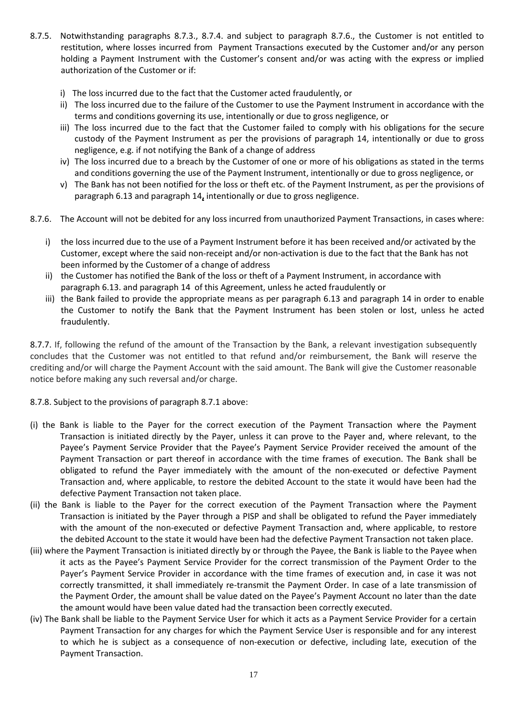- 8.7.5. Notwithstanding paragraphs 8.7.3., 8.7.4. and subject to paragraph 8.7.6., the Customer is not entitled to restitution, where losses incurred from Payment Transactions executed by the Customer and/or any person holding a Payment Instrument with the Customer's consent and/or was acting with the express or implied authorization of the Customer or if:
	- i) The loss incurred due to the fact that the Customer acted fraudulently, or
	- ii) The loss incurred due to the failure of the Customer to use the Payment Instrument in accordance with the terms and conditions governing its use, intentionally or due to gross negligence, or
	- iii) The loss incurred due to the fact that the Customer failed to comply with his obligations for the secure custody of the Payment Instrument as per the provisions of paragraph 14, intentionally or due to gross negligence, e.g. if not notifying the Bank of a change of address
	- iv) The loss incurred due to a breach by the Customer of one or more of his obligations as stated in the terms and conditions governing the use of the Payment Instrument, intentionally or due to gross negligence, or
	- v) The Bank has not been notified for the loss or theft etc. of the Payment Instrument, as per the provisions of paragraph 6.13 and paragraph 14**,** intentionally or due to gross negligence.
- 8.7.6. The Account will not be debited for any loss incurred from unauthorized Payment Transactions, in cases where:
	- i) the loss incurred due to the use of a Payment Instrument before it has been received and/or activated by the Customer, except where the said non-receipt and/or non-activation is due to the fact that the Bank has not been informed by the Customer of a change of address
	- ii) the Customer has notified the Bank of the loss or theft of a Payment Instrument, in accordance with paragraph 6.13. and paragraph 14 of this Agreement, unless he acted fraudulently or
	- iii) the Bank failed to provide the appropriate means as per paragraph 6.13 and paragraph 14 in order to enable the Customer to notify the Bank that the Payment Instrument has been stolen or lost, unless he acted fraudulently.

8.7.7. If, following the refund of the amount of the Transaction by the Bank, a relevant investigation subsequently concludes that the Customer was not entitled to that refund and/or reimbursement, the Bank will reserve the crediting and/or will charge the Payment Account with the said amount. The Bank will give the Customer reasonable notice before making any such reversal and/or charge.

8.7.8. Subject to the provisions of paragraph 8.7.1 above:

- (i) the Bank is liable to the Payer for the correct execution of the Payment Transaction where the Payment Transaction is initiated directly by the Payer, unless it can prove to the Payer and, where relevant, to the Payee's Payment Service Provider that the Payee's Payment Service Provider received the amount of the Payment Transaction or part thereof in accordance with the time frames of execution. The Bank shall be obligated to refund the Payer immediately with the amount of the non-executed or defective Payment Transaction and, where applicable, to restore the debited Account to the state it would have been had the defective Payment Transaction not taken place.
- (ii) the Bank is liable to the Payer for the correct execution of the Payment Transaction where the Payment Transaction is initiated by the Payer through a PISP and shall be obligated to refund the Payer immediately with the amount of the non-executed or defective Payment Transaction and, where applicable, to restore the debited Account to the state it would have been had the defective Payment Transaction not taken place.
- (iii) where the Payment Transaction is initiated directly by or through the Payee, the Bank is liable to the Payee when it acts as the Payee's Payment Service Provider for the correct transmission of the Payment Order to the Payer's Payment Service Provider in accordance with the time frames of execution and, in case it was not correctly transmitted, it shall immediately re-transmit the Payment Order. In case of a late transmission of the Payment Order, the amount shall be value dated on the Payee's Payment Account no later than the date the amount would have been value dated had the transaction been correctly executed.
- (iv) The Bank shall be liable to the Payment Service User for which it acts as a Payment Service Provider for a certain Payment Transaction for any charges for which the Payment Service User is responsible and for any interest to which he is subject as a consequence of non-execution or defective, including late, execution of the Payment Transaction.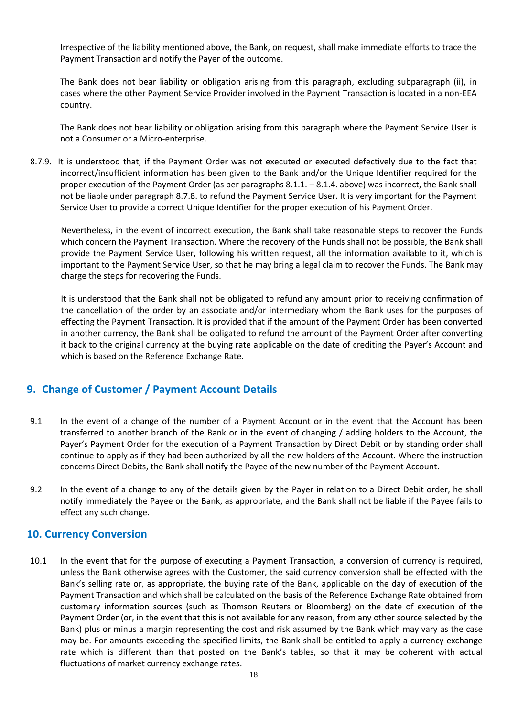Irrespective of the liability mentioned above, the Bank, on request, shall make immediate efforts to trace the Payment Transaction and notify the Payer of the outcome.

The Bank does not bear liability or obligation arising from this paragraph, excluding subparagraph (ii), in cases where the other Payment Service Provider involved in the Payment Transaction is located in a non-EEA country.

The Bank does not bear liability or obligation arising from this paragraph where the Payment Service User is not a Consumer or a Micro-enterprise.

8.7.9. It is understood that, if the Payment Order was not executed or executed defectively due to the fact that incorrect/insufficient information has been given to the Bank and/or the Unique Identifier required for the proper execution of the Payment Order (as per paragraphs 8.1.1. – 8.1.4. above) was incorrect, the Bank shall not be liable under paragraph 8.7.8. to refund the Payment Service User. It is very important for the Payment Service User to provide a correct Unique Identifier for the proper execution of his Payment Order.

Nevertheless, in the event of incorrect execution, the Bank shall take reasonable steps to recover the Funds which concern the Payment Transaction. Where the recovery of the Funds shall not be possible, the Bank shall provide the Payment Service User, following his written request, all the information available to it, which is important to the Payment Service User, so that he may bring a legal claim to recover the Funds. The Bank may charge the steps for recovering the Funds.

It is understood that the Bank shall not be obligated to refund any amount prior to receiving confirmation of the cancellation of the order by an associate and/or intermediary whom the Bank uses for the purposes of effecting the Payment Transaction. It is provided that if the amount of the Payment Order has been converted in another currency, the Bank shall be obligated to refund the amount of the Payment Order after converting it back to the original currency at the buying rate applicable on the date of crediting the Payer's Account and which is based on the Reference Exchange Rate.

# <span id="page-17-0"></span>**9. Change of Customer / Payment Account Details**

- 9.1 In the event of a change of the number of a Payment Account or in the event that the Account has been transferred to another branch of the Bank or in the event of changing / adding holders to the Account, the Payer's Payment Order for the execution of a Payment Transaction by Direct Debit or by standing order shall continue to apply as if they had been authorized by all the new holders of the Account. Where the instruction concerns Direct Debits, the Bank shall notify the Payee of the new number of the Payment Account.
- 9.2 In the event of a change to any of the details given by the Payer in relation to a Direct Debit order, he shall notify immediately the Payee or the Bank, as appropriate, and the Bank shall not be liable if the Payee fails to effect any such change.

## <span id="page-17-1"></span>**10. Currency Conversion**

10.1 In the event that for the purpose of executing a Payment Transaction, a conversion of currency is required, unless the Bank otherwise agrees with the Customer, the said currency conversion shall be effected with the Bank's selling rate or, as appropriate, the buying rate of the Bank, applicable on the day of execution of the Payment Transaction and which shall be calculated on the basis of the Reference Exchange Rate obtained from customary information sources (such as Thomson Reuters or Bloomberg) on the date of execution of the Payment Order (or, in the event that this is not available for any reason, from any other source selected by the Bank) plus or minus a margin representing the cost and risk assumed by the Bank which may vary as the case may be. For amounts exceeding the specified limits, the Bank shall be entitled to apply a currency exchange rate which is different than that posted on the Bank's tables, so that it may be coherent with actual fluctuations of market currency exchange rates.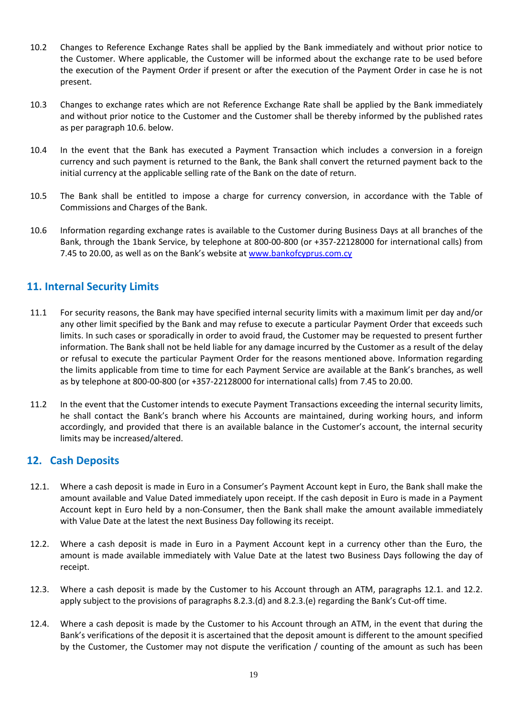- 10.2 Changes to Reference Exchange Rates shall be applied by the Bank immediately and without prior notice to the Customer. Where applicable, the Customer will be informed about the exchange rate to be used before the execution of the Payment Order if present or after the execution of the Payment Order in case he is not present.
- 10.3 Changes to exchange rates which are not Reference Exchange Rate shall be applied by the Bank immediately and without prior notice to the Customer and the Customer shall be thereby informed by the published rates as per paragraph 10.6. below.
- 10.4 In the event that the Bank has executed a Payment Transaction which includes a conversion in a foreign currency and such payment is returned to the Bank, the Bank shall convert the returned payment back to the initial currency at the applicable selling rate of the Bank on the date of return.
- 10.5 The Bank shall be entitled to impose a charge for currency conversion, in accordance with the Table of Commissions and Charges of the Bank.
- 10.6 Information regarding exchange rates is available to the Customer during Business Days at all branches of the Bank, through the 1bank Service, by telephone at 800-00-800 (or +357-22128000 for international calls) from 7.45 to 20.00, as well as on the Bank's website at [www.bankofcyprus.com.cy](http://www.bankofcyprus.com.cy/)

# <span id="page-18-0"></span>**11. Internal Security Limits**

- 11.1 For security reasons, the Bank may have specified internal security limits with a maximum limit per day and/or any other limit specified by the Bank and may refuse to execute a particular Payment Order that exceeds such limits. In such cases or sporadically in order to avoid fraud, the Customer may be requested to present further information. The Bank shall not be held liable for any damage incurred by the Customer as a result of the delay or refusal to execute the particular Payment Order for the reasons mentioned above. Information regarding the limits applicable from time to time for each Payment Service are available at the Bank's branches, as well as by telephone at 800-00-800 (or +357-22128000 for international calls) from 7.45 to 20.00.
- 11.2 In the event that the Customer intends to execute Payment Transactions exceeding the internal security limits, he shall contact the Bank's branch where his Accounts are maintained, during working hours, and inform accordingly, and provided that there is an available balance in the Customer's account, the internal security limits may be increased/altered.

## <span id="page-18-1"></span>**12. Cash Deposits**

- 12.1. Where a cash deposit is made in Euro in a Consumer's Payment Account kept in Euro, the Bank shall make the amount available and Value Dated immediately upon receipt. If the cash deposit in Euro is made in a Payment Account kept in Euro held by a non-Consumer, then the Bank shall make the amount available immediately with Value Date at the latest the next Business Day following its receipt.
- 12.2. Where a cash deposit is made in Euro in a Payment Account kept in a currency other than the Euro, the amount is made available immediately with Value Date at the latest two Business Days following the day of receipt.
- 12.3. Where a cash deposit is made by the Customer to his Account through an ATM, paragraphs 12.1. and 12.2. apply subject to the provisions of paragraphs 8.2.3.(d) and 8.2.3.(e) regarding the Bank's Cut-off time.
- 12.4. Where a cash deposit is made by the Customer to his Account through an ATM, in the event that during the Bank's verifications of the deposit it is ascertained that the deposit amount is different to the amount specified by the Customer, the Customer may not dispute the verification / counting of the amount as such has been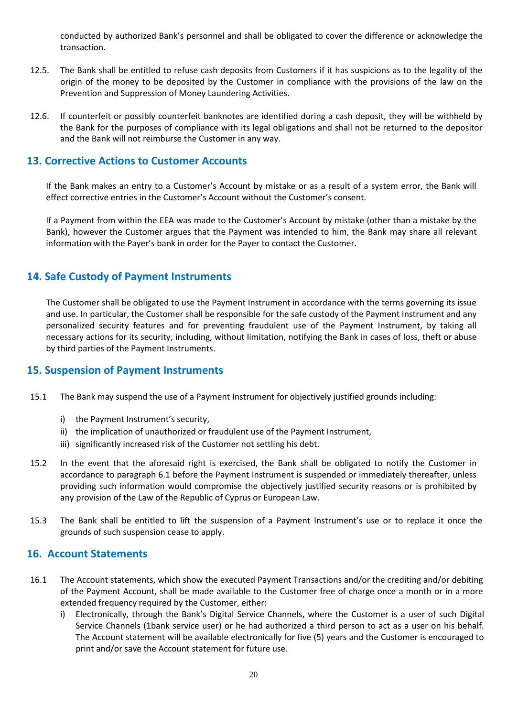conducted by authorized Bank's personnel and shall be obligated to cover the difference or acknowledge the transaction.

- 12.5. The Bank shall be entitled to refuse cash deposits from Customers if it has suspicions as to the legality of the origin of the money to be deposited by the Customer in compliance with the provisions of the law on the Prevention and Suppression of Money Laundering Activities.
- 12.6. If counterfeit or possibly counterfeit banknotes are identified during a cash deposit, they will be withheld by the Bank for the purposes of compliance with its legal obligations and shall not be returned to the depositor and the Bank will not reimburse the Customer in any way.

## <span id="page-19-0"></span>**13. Corrective Actions to Customer Accounts**

If the Bank makes an entry to a Customer's Account by mistake or as a result of a system error, the Bank will effect corrective entries in the Customer's Account without the Customer's consent.

If a Payment from within the EEA was made to the Customer's Account by mistake (other than a mistake by the Bank), however the Customer argues that the Payment was intended to him, the Bank may share all relevant information with the Payer's bank in order for the Payer to contact the Customer.

# <span id="page-19-1"></span>**14. Safe Custody of Payment Instruments**

The Customer shall be obligated to use the Payment Instrument in accordance with the terms governing its issue and use. In particular, the Customer shall be responsible for the safe custody of the Payment Instrument and any personalized security features and for preventing fraudulent use of the Payment Instrument, by taking all necessary actions for its security, including, without limitation, notifying the Bank in cases of loss, theft or abuse by third parties of the Payment Instruments.

# <span id="page-19-2"></span>**15. Suspension of Payment Instruments**

- 15.1 The Bank may suspend the use of a Payment Instrument for objectively justified grounds including:
	- i) the Payment Instrument's security,
	- ii) the implication of unauthorized or fraudulent use of the Payment Instrument,
	- iii) significantly increased risk of the Customer not settling his debt.
- 15.2 In the event that the aforesaid right is exercised, the Bank shall be obligated to notify the Customer in accordance to paragraph 6.1 before the Payment Instrument is suspended or immediately thereafter, unless providing such information would compromise the objectively justified security reasons or is prohibited by any provision of the Law of the Republic of Cyprus or European Law.
- 15.3 The Bank shall be entitled to lift the suspension of a Payment Instrument's use or to replace it once the grounds of such suspension cease to apply.

## <span id="page-19-3"></span>**16. Account Statements**

- 16.1 The Account statements, which show the executed Payment Transactions and/or the crediting and/or debiting of the Payment Account, shall be made available to the Customer free of charge once a month or in a more extended frequency required by the Customer, either:
	- i) Electronically, through the Bank's Digital Service Channels, where the Customer is a user of such Digital Service Channels (1bank service user) or he had authorized a third person to act as a user on his behalf. The Account statement will be available electronically for five (5) years and the Customer is encouraged to print and/or save the Account statement for future use.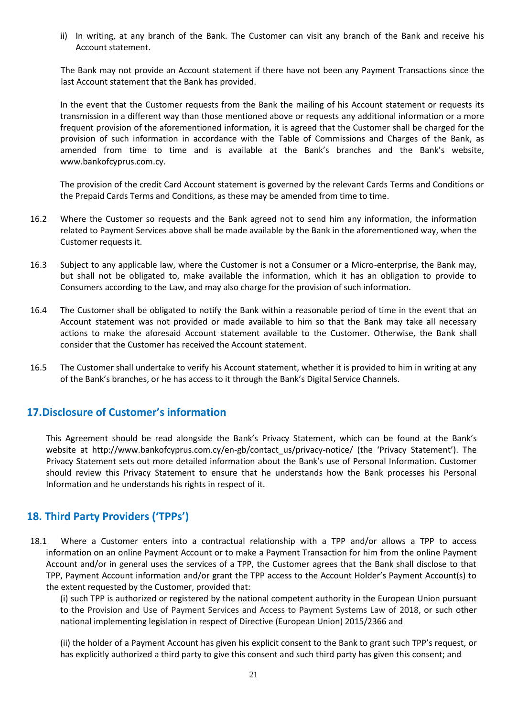ii) In writing, at any branch of the Bank. The Customer can visit any branch of the Bank and receive his Account statement.

The Bank may not provide an Account statement if there have not been any Payment Transactions since the last Account statement that the Bank has provided.

In the event that the Customer requests from the Bank the mailing of his Account statement or requests its transmission in a different way than those mentioned above or requests any additional information or a more frequent provision of the aforementioned information, it is agreed that the Customer shall be charged for the provision of such information in accordance with the Table of Commissions and Charges of the Bank, as amended from time to time and is available at the Bank's branches and the Bank's website, www.bankofcyprus.com.cy.

Τhe provision of the credit Card Account statement is governed by the relevant Cards Terms and Conditions or the Prepaid Cards Terms and Conditions, as these may be amended from time to time.

- 16.2 Where the Customer so requests and the Bank agreed not to send him any information, the information related to Payment Services above shall be made available by the Bank in the aforementioned way, when the Customer requests it.
- 16.3 Subject to any applicable law, where the Customer is not a Consumer or a Micro-enterprise, the Bank may, but shall not be obligated to, make available the information, which it has an obligation to provide to Consumers according to the Law, and may also charge for the provision of such information.
- 16.4 The Customer shall be obligated to notify the Bank within a reasonable period of time in the event that an Account statement was not provided or made available to him so that the Bank may take all necessary actions to make the aforesaid Account statement available to the Customer. Otherwise, the Bank shall consider that the Customer has received the Account statement.
- 16.5 The Customer shall undertake to verify his Account statement, whether it is provided to him in writing at any of the Bank's branches, or he has access to it through the Bank's Digital Service Channels.

# <span id="page-20-0"></span>**17.Disclosure of Customer's information**

This Agreement should be read alongside the Bank's Privacy Statement, which can be found at the Bank's website at http://www.bankofcyprus.com.cy/en-gb/contact\_us/privacy-notice/ (the 'Privacy Statement'). The Privacy Statement sets out more detailed information about the Bank's use of Personal Information. Customer should review this Privacy Statement to ensure that he understands how the Bank processes his Personal Information and he understands his rights in respect of it.

# <span id="page-20-1"></span>**18. Third Party Providers ('TPPs')**

18.1 Where a Customer enters into a contractual relationship with a TPP and/or allows a TPP to access information on an online Payment Account or to make a Payment Transaction for him from the online Payment Account and/or in general uses the services of a TPP, the Customer agrees that the Bank shall disclose to that TPP, Payment Account information and/or grant the TPP access to the Account Holder's Payment Account(s) to the extent requested by the Customer, provided that:

(i) such TPP is authorized or registered by the national competent authority in the European Union pursuant to the Provision and Use of Payment Services and Access to Payment Systems Law of 2018, or such other national implementing legislation in respect of Directive (European Union) 2015/2366 and

(ii) the holder of a Payment Account has given his explicit consent to the Bank to grant such TPP's request, or has explicitly authorized a third party to give this consent and such third party has given this consent; and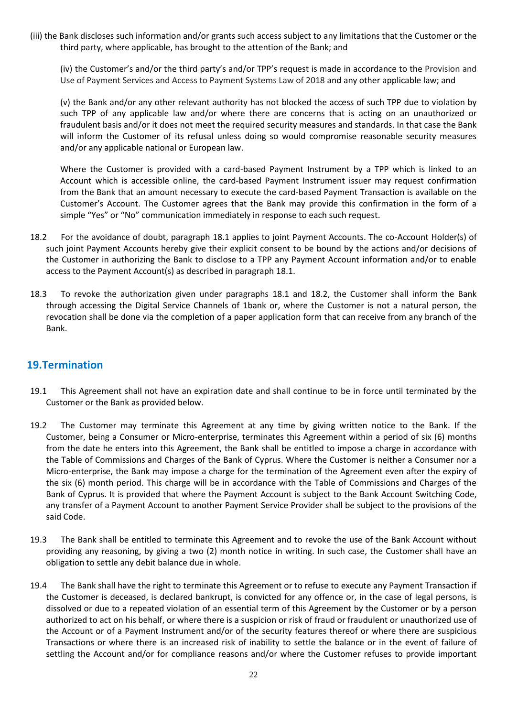(iii) the Bank discloses such information and/or grants such access subject to any limitations that the Customer or the third party, where applicable, has brought to the attention of the Bank; and

(iv) the Customer's and/or the third party's and/or TPP's request is made in accordance to the Provision and Use of Payment Services and Access to Payment Systems Law of 2018 and any other applicable law; and

(v) the Bank and/or any other relevant authority has not blocked the access of such TPP due to violation by such TPP of any applicable law and/or where there are concerns that is acting on an unauthorized or fraudulent basis and/or it does not meet the required security measures and standards. In that case the Bank will inform the Customer of its refusal unless doing so would compromise reasonable security measures and/or any applicable national or European law.

Where the Customer is provided with a card-based Payment Instrument by a TPP which is linked to an Account which is accessible online, the card-based Payment Instrument issuer may request confirmation from the Bank that an amount necessary to execute the card-based Payment Transaction is available on the Customer's Account. The Customer agrees that the Bank may provide this confirmation in the form of a simple "Yes" or "No" communication immediately in response to each such request.

- 18.2 For the avoidance of doubt, paragraph 18.1 applies to joint Payment Accounts. The co-Account Holder(s) of such joint Payment Accounts hereby give their explicit consent to be bound by the actions and/or decisions of the Customer in authorizing the Bank to disclose to a TPP any Payment Account information and/or to enable access to the Payment Account(s) as described in paragraph 18.1.
- 18.3 To revoke the authorization given under paragraphs 18.1 and 18.2, the Customer shall inform the Bank through accessing the Digital Service Channels of 1bank or, where the Customer is not a natural person, the revocation shall be done via the completion of a paper application form that can receive from any branch of the Bank.

# <span id="page-21-0"></span>**19.Termination**

- 19.1 This Agreement shall not have an expiration date and shall continue to be in force until terminated by the Customer or the Bank as provided below.
- 19.2 The Customer may terminate this Agreement at any time by giving written notice to the Bank. If the Customer, being a Consumer or Micro-enterprise, terminates this Agreement within a period of six (6) months from the date he enters into this Agreement, the Bank shall be entitled to impose a charge in accordance with the Table of Commissions and Charges of the Bank of Cyprus. Where the Customer is neither a Consumer nor a Micro-enterprise, the Bank may impose a charge for the termination of the Agreement even after the expiry of the six (6) month period. This charge will be in accordance with the Table of Commissions and Charges of the Bank of Cyprus. It is provided that where the Payment Account is subject to the Bank Account Switching Code, any transfer of a Payment Account to another Payment Service Provider shall be subject to the provisions of the said Code.
- 19.3 Τhe Bank shall be entitled to terminate this Agreement and to revoke the use of the Bank Account without providing any reasoning, by giving a two (2) month notice in writing. In such case, the Customer shall have an obligation to settle any debit balance due in whole.
- 19.4 The Bank shall have the right to terminate this Agreement or to refuse to execute any Payment Transaction if the Customer is deceased, is declared bankrupt, is convicted for any offence or, in the case of legal persons, is dissolved or due to a repeated violation of an essential term of this Agreement by the Customer or by a person authorized to act on his behalf, or where there is a suspicion or risk of fraud or fraudulent or unauthorized use of the Account or of a Payment Instrument and/or of the security features thereof or where there are suspicious Transactions or where there is an increased risk of inability to settle the balance or in the event of failure of settling the Account and/or for compliance reasons and/or where the Customer refuses to provide important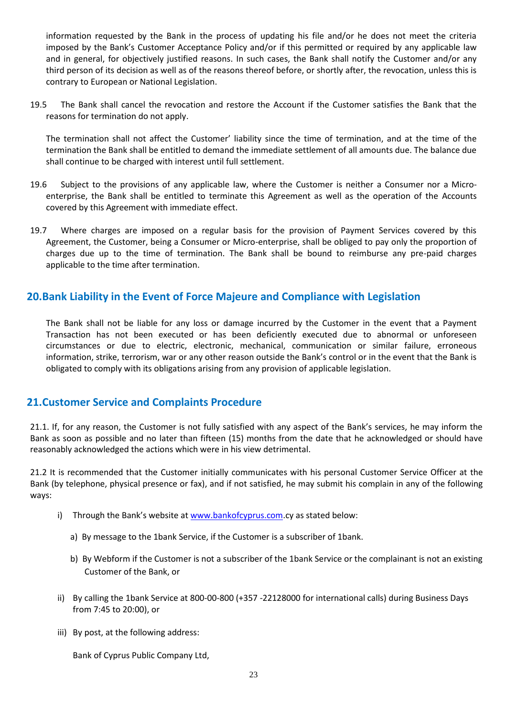information requested by the Bank in the process of updating his file and/or he does not meet the criteria imposed by the Bank's Customer Acceptance Policy and/or if this permitted or required by any applicable law and in general, for objectively justified reasons. In such cases, the Bank shall notify the Customer and/or any third person of its decision as well as of the reasons thereof before, or shortly after, the revocation, unless this is contrary to European or National Legislation.

19.5 The Bank shall cancel the revocation and restore the Αccount if the Customer satisfies the Bank that the reasons for termination do not apply.

The termination shall not affect the Customer' liability since the time of termination, and at the time of the termination the Bank shall be entitled to demand the immediate settlement of all amounts due. The balance due shall continue to be charged with interest until full settlement.

- 19.6 Subject to the provisions of any applicable law, where the Customer is neither a Consumer nor a Microenterprise, the Bank shall be entitled to terminate this Agreement as well as the operation of the Accounts covered by this Agreement with immediate effect.
- 19.7 Where charges are imposed on a regular basis for the provision of Payment Services covered by this Agreement, the Customer, being a Consumer or Micro-enterprise, shall be obliged to pay only the proportion of charges due up to the time of termination. The Bank shall be bound to reimburse any pre-paid charges applicable to the time after termination.

# <span id="page-22-0"></span>**20.Bank Liability in the Event of Force Majeure and Compliance with Legislation**

The Bank shall not be liable for any loss or damage incurred by the Customer in the event that a Payment Transaction has not been executed or has been deficiently executed due to abnormal or unforeseen circumstances or due to electric, electronic, mechanical, communication or similar failure, erroneous information, strike, terrorism, war or any other reason outside the Bank's control or in the event that the Bank is obligated to comply with its obligations arising from any provision of applicable legislation.

# <span id="page-22-1"></span>**21.Customer Service and Complaints Procedure**

21.1. If, for any reason, the Customer is not fully satisfied with any aspect of the Bank's services, he may inform the Bank as soon as possible and no later than fifteen (15) months from the date that he acknowledged or should have reasonably acknowledged the actions which were in his view detrimental.

21.2 It is recommended that the Customer initially communicates with his personal Customer Service Officer at the Bank (by telephone, physical presence or fax), and if not satisfied, he may submit his complain in any of the following ways:

- i) Through the Bank's website at [www.bankofcyprus.com.](http://www.bankofcyprus.com/)cy as stated below:
	- a) By message to the 1bank Service, if the Customer is a subscriber of 1bank.
	- b) By Webform if the Customer is not a subscriber of the 1bank Service or the complainant is not an existing Customer of the Bank, or
- ii) By calling the 1bank Service at 800-00-800 (+357 -22128000 for international calls) during Business Days from 7:45 to 20:00), or
- iii) By post, at the following address:

Bank of Cyprus Public Company Ltd,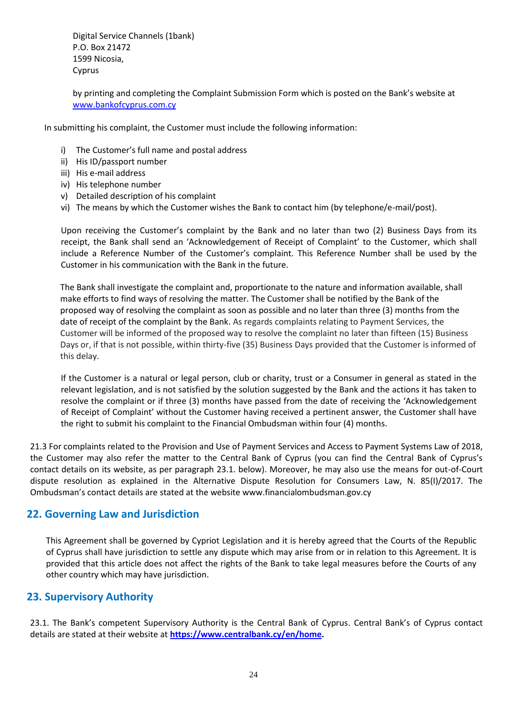Digital Service Channels (1bank) P.O. Box 21472 1599 Nicosia, Cyprus

by printing and completing the Complaint Submission Form which is posted on the Bank's website at [www.bankofcyprus.com.cy](http://www.bankofcyprus.com.cy/)

In submitting his complaint, the Customer must include the following information:

- i) The Customer's full name and postal address
- ii) His ID/passport number
- iii) His e-mail address
- iv) His telephone number
- v) Detailed description of his complaint
- vi) The means by which the Customer wishes the Bank to contact him (by telephone/e-mail/post).

Upon receiving the Customer's complaint by the Bank and no later than two (2) Business Days from its receipt, the Bank shall send an 'Acknowledgement of Receipt of Complaint' to the Customer, which shall include a Reference Number of the Customer's complaint. This Reference Number shall be used by the Customer in his communication with the Bank in the future.

The Bank shall investigate the complaint and, proportionate to the nature and information available, shall make efforts to find ways of resolving the matter. The Customer shall be notified by the Bank of the proposed way of resolving the complaint as soon as possible and no later than three (3) months from the date of receipt of the complaint by the Bank. As regards complaints relating to Payment Services, the Customer will be informed of the proposed way to resolve the complaint no later than fifteen (15) Business Days or, if that is not possible, within thirty-five (35) Business Days provided that the Customer is informed of this delay.

If the Customer is a natural or legal person, club or charity, trust or a Consumer in general as stated in the relevant legislation, and is not satisfied by the solution suggested by the Bank and the actions it has taken to resolve the complaint or if three (3) months have passed from the date of receiving the 'Acknowledgement of Receipt of Complaint' without the Customer having received a pertinent answer, the Customer shall have the right to submit his complaint to the Financial Ombudsman within four (4) months.

21.3 For complaints related to the Provision and Use of Payment Services and Access to Payment Systems Law of 2018, the Customer may also refer the matter to the Central Bank of Cyprus (you can find the Central Bank of Cyprus's contact details on its website, as per paragraph 23.1. below). Moreover, he may also use the means for out-of-Court dispute resolution as explained in the Alternative Dispute Resolution for Consumers Law, N. 85(I)/2017. The Ombudsman's contact details are stated at the website www.financialombudsman.gov.cy

## <span id="page-23-0"></span>**22. Governing Law and Jurisdiction**

This Agreement shall be governed by Cypriot Legislation and it is hereby agreed that the Courts of the Republic of Cyprus shall have jurisdiction to settle any dispute which may arise from or in relation to this Agreement. It is provided that this article does not affect the rights of the Bank to take legal measures before the Courts of any other country which may have jurisdiction.

## <span id="page-23-1"></span>**23. Supervisory Authority**

23.1. The Bank's competent Supervisory Authority is the Central Bank of Cyprus. Central Bank's of Cyprus contact details are stated at their website at **[https://www.centralbank.cy/en/home.](https://www.centralbank.cy/en/home)**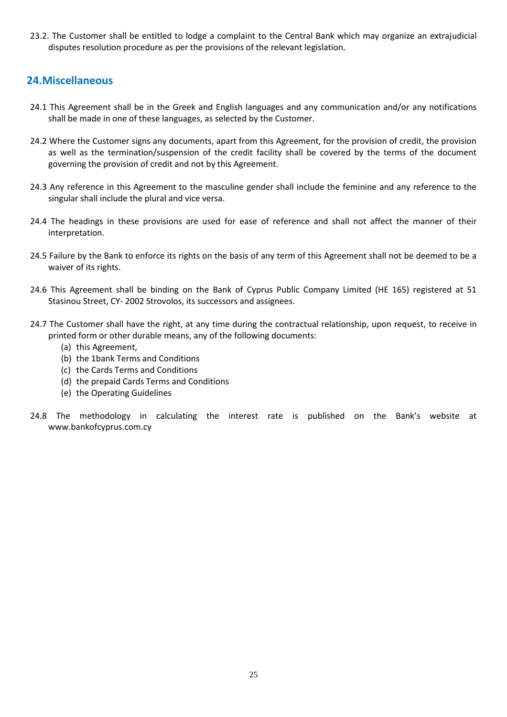23.2. The Customer shall be entitled to lodge a complaint to the Central Bank which may organize an extrajudicial disputes resolution procedure as per the provisions of the relevant legislation.

# <span id="page-24-0"></span>**24.Miscellaneous**

- 24.1 This Agreement shall be in the Greek and English languages and any communication and/or any notifications shall be made in one of these languages, as selected by the Customer.
- 24.2 Where the Customer signs any documents, apart from this Agreement, for the provision of credit, the provision as well as the termination/suspension of the credit facility shall be covered by the terms of the document governing the provision of credit and not by this Agreement.
- 24.3 Any reference in this Agreement to the masculine gender shall include the feminine and any reference to the singular shall include the plural and vice versa.
- 24.4 The headings in these provisions are used for ease of reference and shall not affect the manner of their interpretation.
- 24.5 Failure by the Bank to enforce its rights on the basis of any term of this Agreement shall not be deemed to be a waiver of its rights.
- 24.6 This Agreement shall be binding on the Bank of Cyprus Public Company Limited (HE 165) registered at 51 Stasinou Street, CY- 2002 Strovolos, its successors and assignees.
- 24.7 The Customer shall have the right, at any time during the contractual relationship, upon request, to receive in printed form or other durable means, any of the following documents:
	- (a) this Agreement,
	- (b) the 1bank Terms and Conditions
	- (c) the Cards Terms and Conditions
	- (d) the prepaid Cards Terms and Conditions
	- (e) the Operating Guidelines
- 24.8 The methodology in calculating the interest rate is published on the Bank's website at [www.bankofcyprus.com.](http://www.bankofcyprus.com/)cy